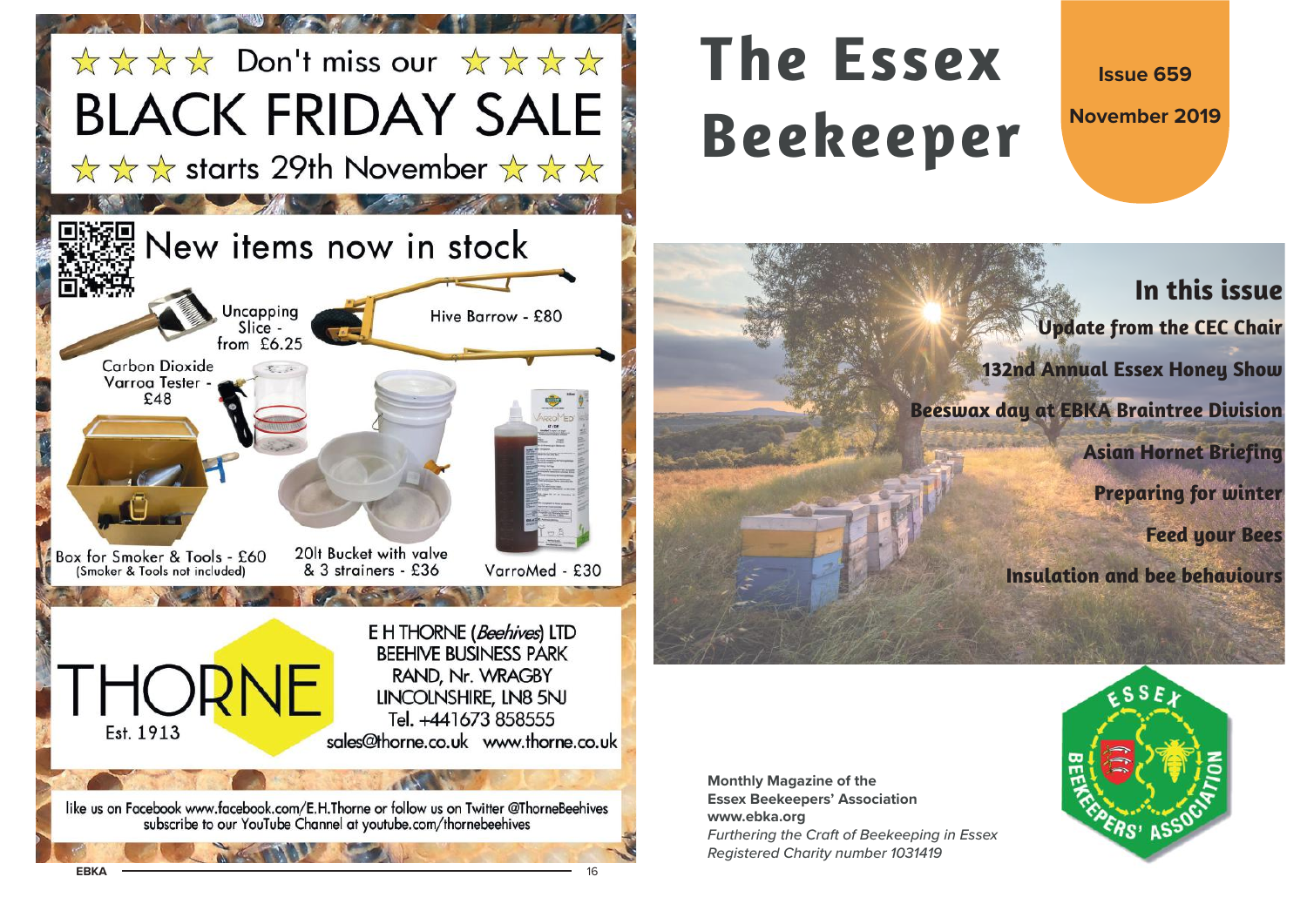

# **The EssexBeekeeper**

**Issue 659**

**November 2019**

# **In this issueUpdate from the CEC Chair 132nd Annual Essex Honey Show Beeswax day at EBKA Braintree Division Asian Hornet Briefing Preparing for winter Feed your Bees Insulation and bee behaviours**

**Monthly Magazine of the Essex Beekeepers' Association www.ebka.org** Furthering the Craft of Beekeeping in Essex Registered Charity number 1031419

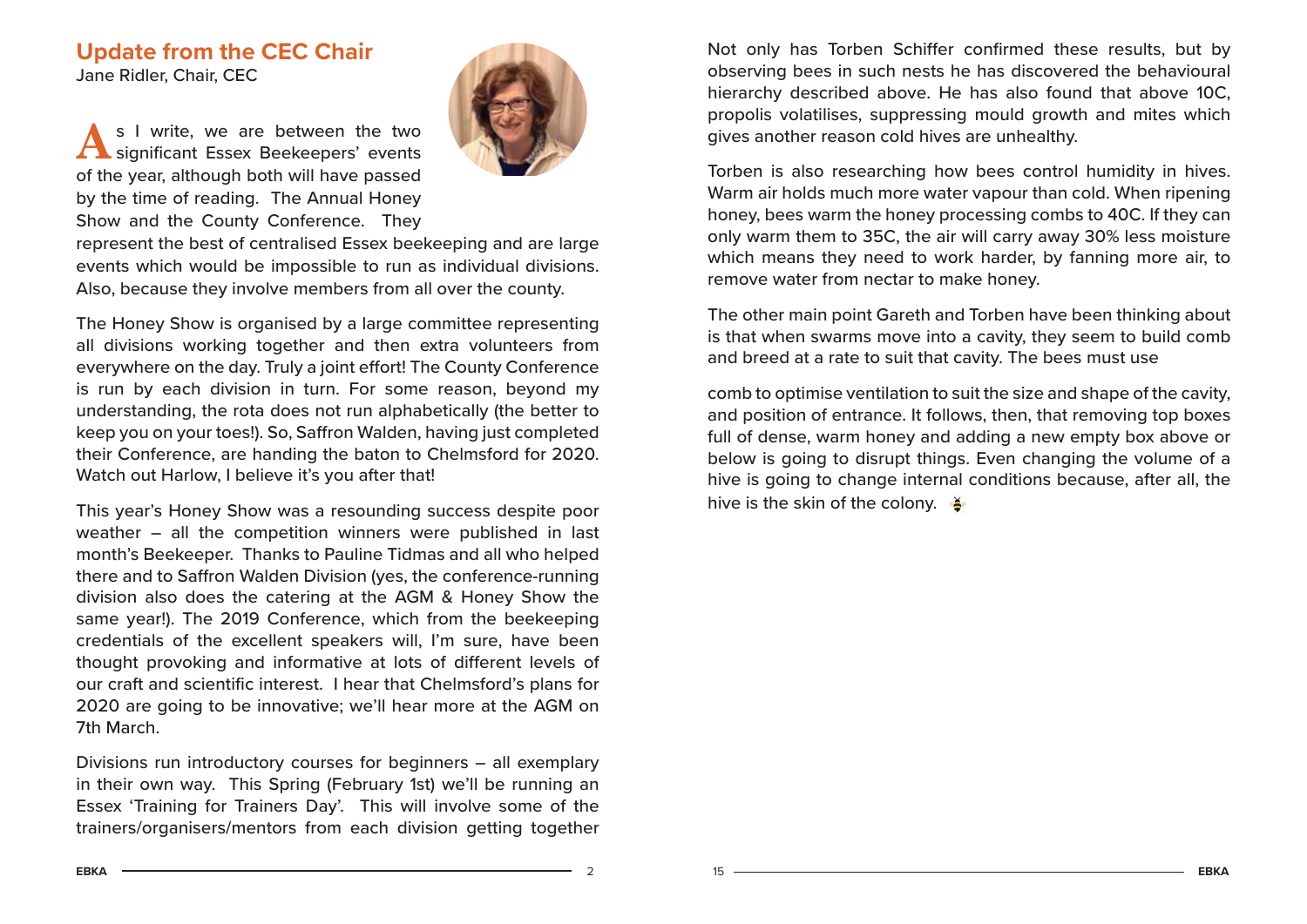# **Update from the CEC Chair** Jane Ridler, Chair, CEC

As I write, we are between the two<br>
Significant Essex Beekeepers' events of the year, although both will have passed by the time of reading. The Annual Honey Show and the County Conference. They



represent the best of centralised Essex beekeeping and are large events which would be impossible to run as individual divisions. Also, because they involve members from all over the county.

The Honey Show is organised by a large committee representing all divisions working together and then extra volunteers from everywhere on the day. Truly a joint effort! The County Conference is run by each division in turn. For some reason, beyond my understanding, the rota does not run alphabetically (the better to keep you on your toes!). So, Saffron Walden, having just completed their Conference, are handing the baton to Chelmsford for 2020. Watch out Harlow, I believe it's you after that!

This year's Honey Show was a resounding success despite poor weather – all the competition winners were published in last month's Beekeeper. Thanks to Pauline Tidmas and all who helped there and to Saffron Walden Division (yes, the conference-running division also does the catering at the AGM & Honey Show the same year!). The 2019 Conference, which from the beekeeping credentials of the excellent speakers will, I'm sure, have been thought provoking and informative at lots of different levels of our craft and scientific interest. I hear that Chelmsford's plans for 2020 are going to be innovative; we'll hear more at the AGM on 7th March.

Divisions run introductory courses for beginners – all exemplary in their own way. This Spring (February 1st) we'll be running an Essex 'Training for Trainers Day'. This will involve some of the trainers/organisers/mentors from each division getting together Not only has Torben Schiffer confirmed these results, but by observing bees in such nests he has discovered the behavioural hierarchy described above. He has also found that above 10C, propolis volatilises, suppressing mould growth and mites which gives another reason cold hives are unhealthy.

Torben is also researching how bees control humidity in hives. Warm air holds much more water vapour than cold. When ripening honey, bees warm the honey processing combs to 40C. If they can only warm them to 35C, the air will carry away 30% less moisture which means they need to work harder, by fanning more air, to remove water from nectar to make honey.

The other main point Gareth and Torben have been thinking about is that when swarms move into a cavity, they seem to build comb and breed at a rate to suit that cavity. The bees must use

comb to optimise ventilation to suit the size and shape of the cavity, and position of entrance. It follows, then, that removing top boxes full of dense, warm honey and adding a new empty box above or below is going to disrupt things. Even changing the volume of a hive is going to change internal conditions because, after all, the hive is the skin of the colony.  $\blacktriangleright$ 

 $A \longrightarrow 2$ 

15

**EBKA**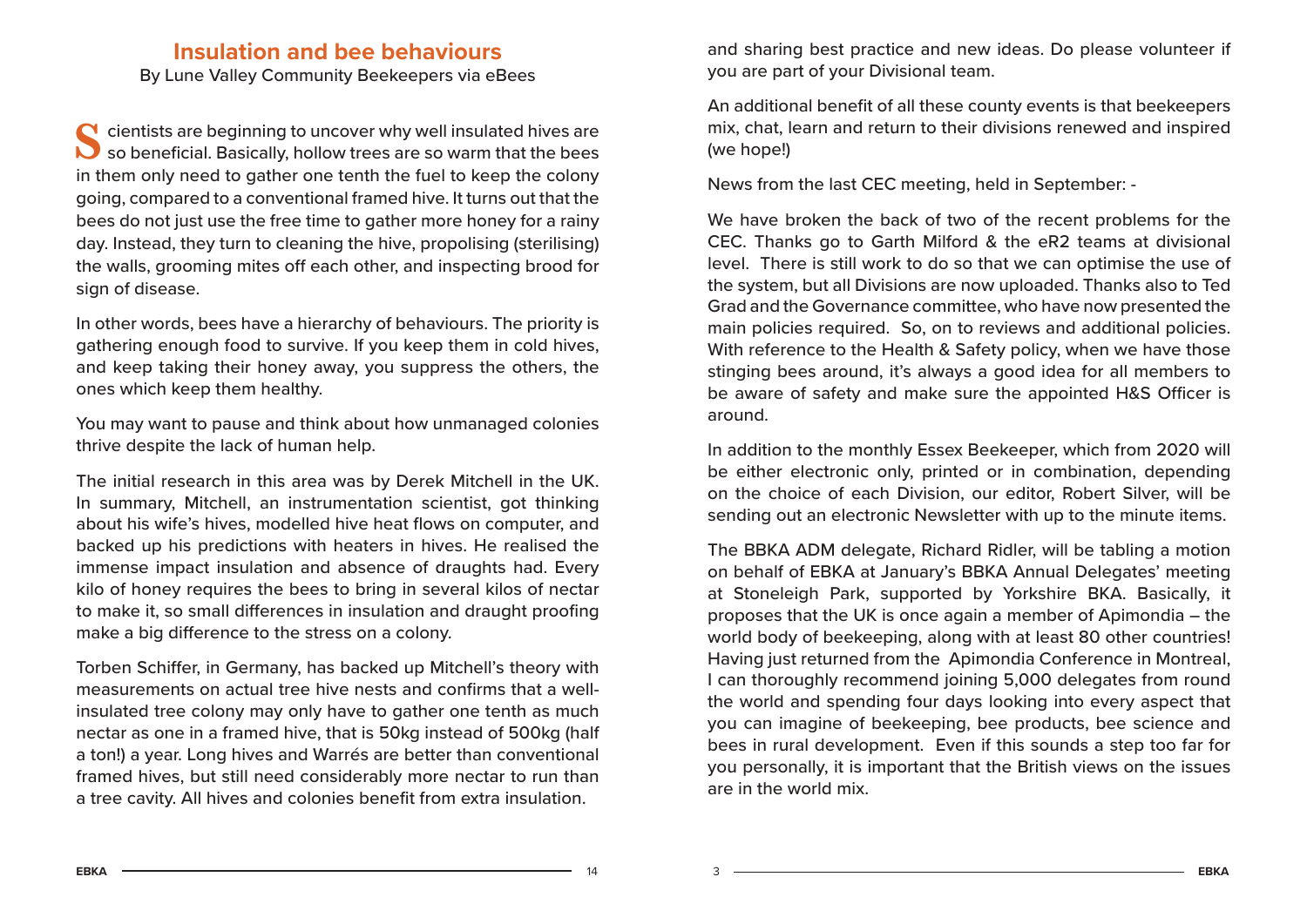# **Insulation and bee behaviours**

By Lune Valley Community Beekeepers via eBees

Scientists are beginning to uncover why well insulated hives are<br>Scientificial. Basically, hollow trees are so warm that the bees in them only need to gather one tenth the fuel to keep the colony going, compared to a conventional framed hive. It turns out that the bees do not just use the free time to gather more honey for a rainy day. Instead, they turn to cleaning the hive, propolising (sterilising) the walls, grooming mites off each other, and inspecting brood for sign of disease.

In other words, bees have a hierarchy of behaviours. The priority is gathering enough food to survive. If you keep them in cold hives, and keep taking their honey away, you suppress the others, the ones which keep them healthy.

You may want to pause and think about how unmanaged colonies thrive despite the lack of human help.

The initial research in this area was by Derek Mitchell in the UK. In summary, Mitchell, an instrumentation scientist, got thinking about his wife's hives, modelled hive heat flows on computer, and backed up his predictions with heaters in hives. He realised the immense impact insulation and absence of draughts had. Every kilo of honey requires the bees to bring in several kilos of nectar to make it, so small differences in insulation and draught proofing make a big difference to the stress on a colony.

Torben Schiffer, in Germany, has backed up Mitchell's theory with measurements on actual tree hive nests and confirms that a wellinsulated tree colony may only have to gather one tenth as much nectar as one in a framed hive, that is 50kg instead of 500kg (half a ton!) a year. Long hives and Warrés are better than conventional framed hives, but still need considerably more nectar to run than a tree cavity. All hives and colonies benefit from extra insulation.

and sharing best practice and new ideas. Do please volunteer if you are part of your Divisional team.

An additional benefit of all these county events is that beekeepers mix, chat, learn and return to their divisions renewed and inspired (we hope!)

News from the last CEC meeting, held in September: -

We have broken the back of two of the recent problems for the CEC. Thanks go to Garth Milford & the eR2 teams at divisional level. There is still work to do so that we can optimise the use of the system, but all Divisions are now uploaded. Thanks also to Ted Grad and the Governance committee, who have now presented the main policies required. So, on to reviews and additional policies. With reference to the Health & Safety policy, when we have those stinging bees around, it's always a good idea for all members to be aware of safety and make sure the appointed H&S Officer is around.

In addition to the monthly Essex Beekeeper, which from 2020 will be either electronic only, printed or in combination, depending on the choice of each Division, our editor, Robert Silver, will be sending out an electronic Newsletter with up to the minute items.

The BBKA ADM delegate, Richard Ridler, will be tabling a motion on behalf of EBKA at January's BBKA Annual Delegates' meeting at Stoneleigh Park, supported by Yorkshire BKA. Basically, it proposes that the UK is once again a member of Apimondia – the world body of beekeeping, along with at least 80 other countries! Having just returned from the Apimondia Conference in Montreal, I can thoroughly recommend joining 5,000 delegates from round the world and spending four days looking into every aspect that you can imagine of beekeeping, bee products, bee science and bees in rural development. Even if this sounds a step too far for you personally, it is important that the British views on the issues are in the world mix.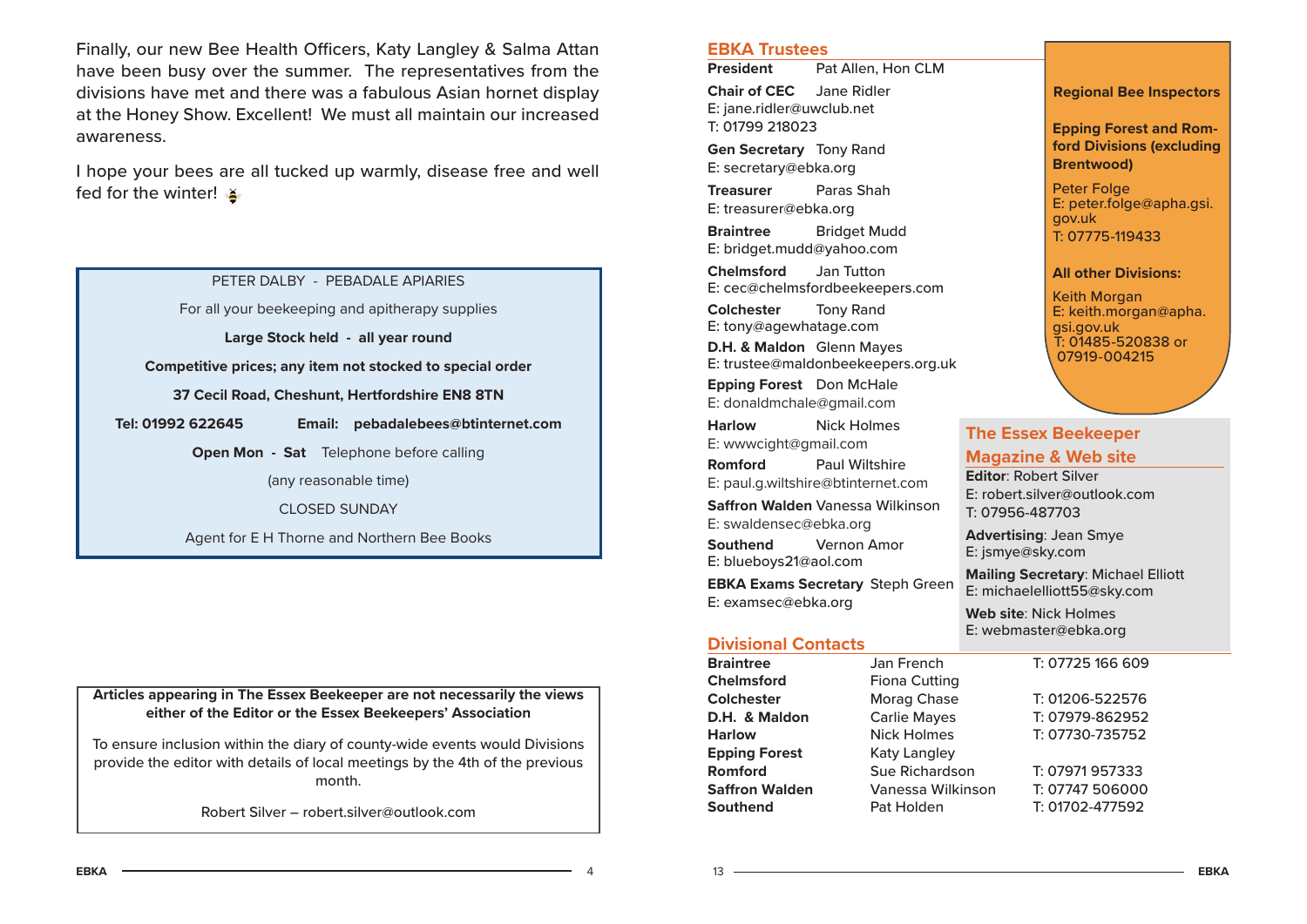Finally, our new Bee Health Officers, Katy Langley & Salma Attan have been busy over the summer. The representatives from the divisions have met and there was a fabulous Asian hornet display at the Honey Show. Excellent! We must all maintain our increased awareness.

I hope your bees are all tucked up warmly, disease free and well fed for the winter!

PETER DALBY - PEBADALE APIARIES

For all your beekeeping and apitherapy supplies

**Large Stock held - all year round**

**Competitive prices; any item not stocked to special order**

**37 Cecil Road, Cheshunt, Hertfordshire EN8 8TN**

**Tel: 01992 622645 Email: pebadalebees@btinternet.com**

**Open Mon - Sat** Telephone before calling

(any reasonable time)

CLOSED SUNDAY

Agent for E H Thorne and Northern Bee Books

**Articles appearing in The Essex Beekeeper are not necessarily the views either of the Editor or the Essex Beekeepers' Association**

To ensure inclusion within the diary of county-wide events would Divisions provide the editor with details of local meetings by the 4th of the previous month.

Robert Silver – robert.silver@outlook.com

#### **EBKA Trustees**

**President** Pat Allen, Hon CLM **Chair of CEC** Jane Ridler E: jane.ridler@uwclub.net T: 01799 218023

**Gen Secretary** Tony Rand E: secretary@ebka.org

**Treasurer** Paras ShahE: treasurer@ebka.org

**Braintree** Bridget Mudd E: bridget.mudd@yahoo.com

**Chelmsford** Jan Tutton E: cec@chelmsfordbeekeepers.com

**Colchester** Tony Rand E: tony@agewhatage.com

**D.H. & Maldon** Glenn Mayes E: trustee@maldonbeekeepers.org.uk

**Epping Forest** Don McHale E: donaldmchale@gmail.com

**Harlow** Nick Holmes E: wwwcight@gmail.com **Romford** Paul Wiltshire E: paul.g.wiltshire@btinternet.com **Saff ron Walden** Vanessa Wilkinson E: swaldensec@ebka.org **Southend** Vernon Amor E: blueboys21@aol.com **EBKA Exams Secretary** Steph Green E: examsec@ebka.org

#### **Divisional Contacts**

13

| <b>Braintree</b>      | Jan French            | T: 07725 166 609 |
|-----------------------|-----------------------|------------------|
| <b>Chelmsford</b>     | <b>Fiona Cutting</b>  |                  |
| <b>Colchester</b>     | Morag Chase           | T: 01206-522576  |
| D.H. & Maldon         | <b>Carlie Mayes</b>   | T: 07979-862952  |
| <b>Harlow</b>         | <b>Nick Holmes</b>    | T: 07730-735752  |
| <b>Epping Forest</b>  | Katy Langley          |                  |
| Romford               | <b>Sue Richardson</b> | T: 07971957333   |
| <b>Saffron Walden</b> | Vanessa Wilkinson     | T: 07747 506000  |
| <b>Southend</b>       | Pat Holden            | T: 01702-477592  |

**Regional Bee Inspectors**

**Epping Forest and Romford Divisions (excluding** 

E: peter.folge@apha.gsi.

**Brentwood)** Peter Folge

T: 07775-119433

Keith Morgan

gsi.gov.uk

**The Essex Beekeeper Magazine & Web site Editor**: Robert Silver

E: robert.silver@outlook.com

**Mailing Secretary**: Michael Elliott E: michaelelliott55@sky.com **Web site**: Nick HolmesE: webmaster@ebka.org

**Advertising**: Jean Smye E: jsmye@sky.com

T: 07956-487703

**All other Divisions:**

E: keith.morgan@apha.

T: 01485-520838 or 07919-004215

gov.uk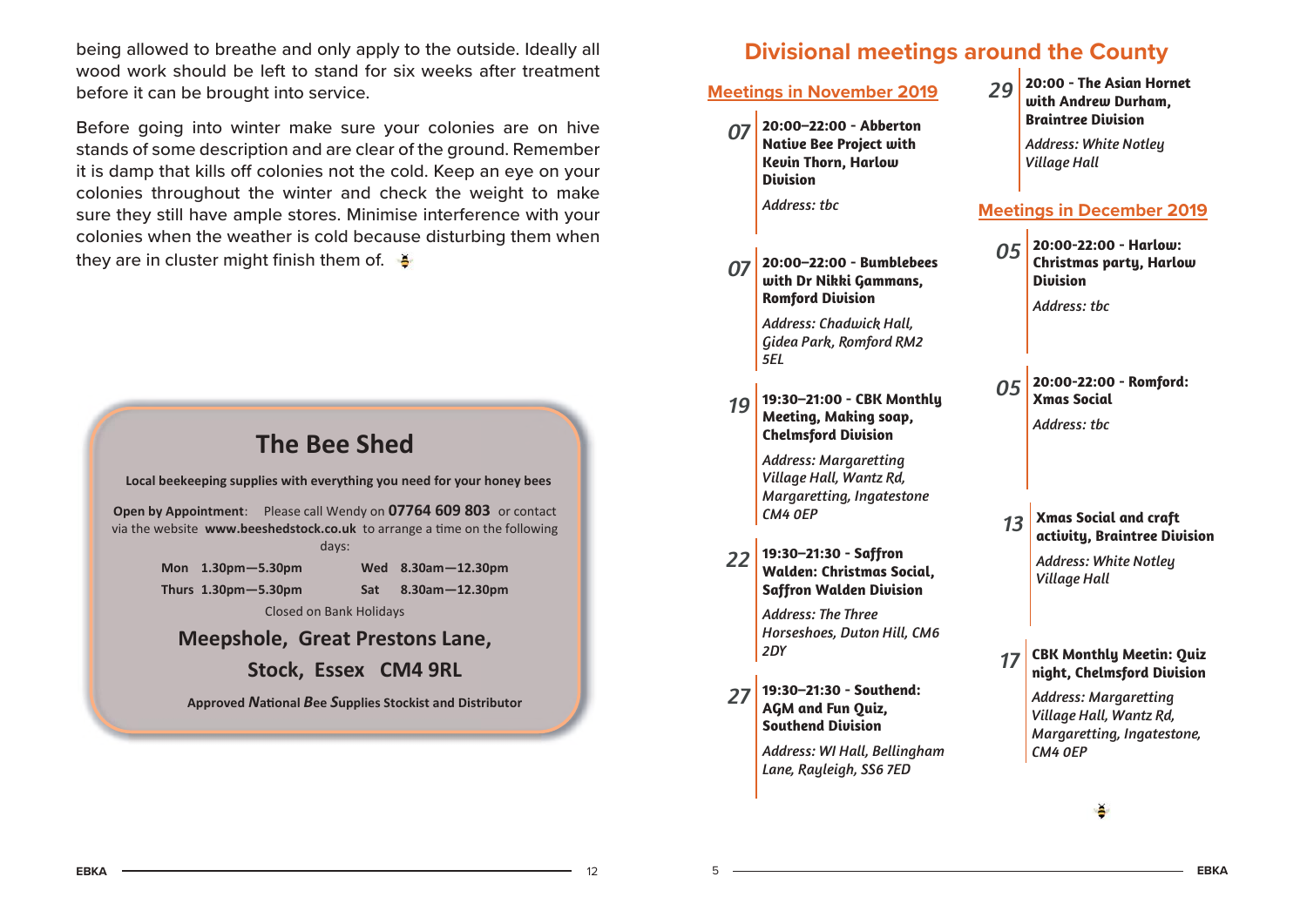being allowed to breathe and only apply to the outside. Ideally all wood work should be left to stand for six weeks after treatment before it can be brought into service.

Before going into winter make sure your colonies are on hive stands of some description and are clear of the ground. Remember it is damp that kills off colonies not the cold. Keep an eye on your colonies throughout the winter and check the weight to make sure they still have ample stores. Minimise interference with your colonies when the weather is cold because disturbing them when they are in cluster might finish them of.  $\bullet$ 



# **Divisional meetings around the County**

|      | <b>Meetings in November 2019</b>                                                                             | 29               | 20:00 - The Asian Hornet<br>with Andrew Durham,                                                                                |
|------|--------------------------------------------------------------------------------------------------------------|------------------|--------------------------------------------------------------------------------------------------------------------------------|
|      | 07 20:00-22:00 - Abberton<br><b>Native Bee Project with</b><br><b>Kevin Thorn, Harlow</b><br><b>Division</b> |                  | <b>Braintree Division</b><br><b>Address: White Notley</b><br><b>Village Hall</b>                                               |
|      | Address: tbc                                                                                                 |                  | <b>Meetings in December 2019</b>                                                                                               |
| 07 I | 20:00-22:00 - Bumblebees<br>with Dr Nikki Gammans,<br><b>Romford Division</b>                                | 05               | 20:00-22:00 - Harlow:<br><b>Christmas party, Harlow</b><br><b>Division</b><br>Address: tbc                                     |
|      | Address: Chadwick Hall,<br>Gidea Park, Romford RM2<br>5EL                                                    |                  |                                                                                                                                |
| 19   | 19:30-21:00 - CBK Monthly<br>Meeting, Making soap,<br><b>Chelmsford Division</b>                             | 05               | 20:00-22:00 - Romford:<br><b>Xmas Social</b><br>Address: tbc                                                                   |
|      | <b>Address: Margaretting</b><br>Village Hall, Wantz Rd,<br>Margaretting, Ingatestone<br>CM4 OEP              | 13               | <b>Xmas Social and craft</b>                                                                                                   |
| 22   | 19:30-21:30 - Saffron<br><b>Walden: Christmas Social,</b><br><b>Saffron Walden Division</b>                  |                  | activity, Braintree Division<br><b>Address: White Notley</b><br><b>Village Hall</b>                                            |
|      | <b>Address: The Three</b><br>Horseshoes, Duton Hill, CM6<br>2DY                                              | 17 <sup>17</sup> | <b>CBK Monthly Meetin: Quiz</b>                                                                                                |
| 27   | 19:30-21:30 - Southend:<br>AGM and Fun Quiz,<br><b>Southend Division</b><br>Address: WI Hall, Bellingham     |                  | night, Chelmsford Division<br><b>Address: Margaretting</b><br>Village Hall, Wantz Rd,<br>Margaretting, Ingatestone,<br>CM4 OEP |
|      | Lane, Rayleigh, SS6 7ED                                                                                      |                  |                                                                                                                                |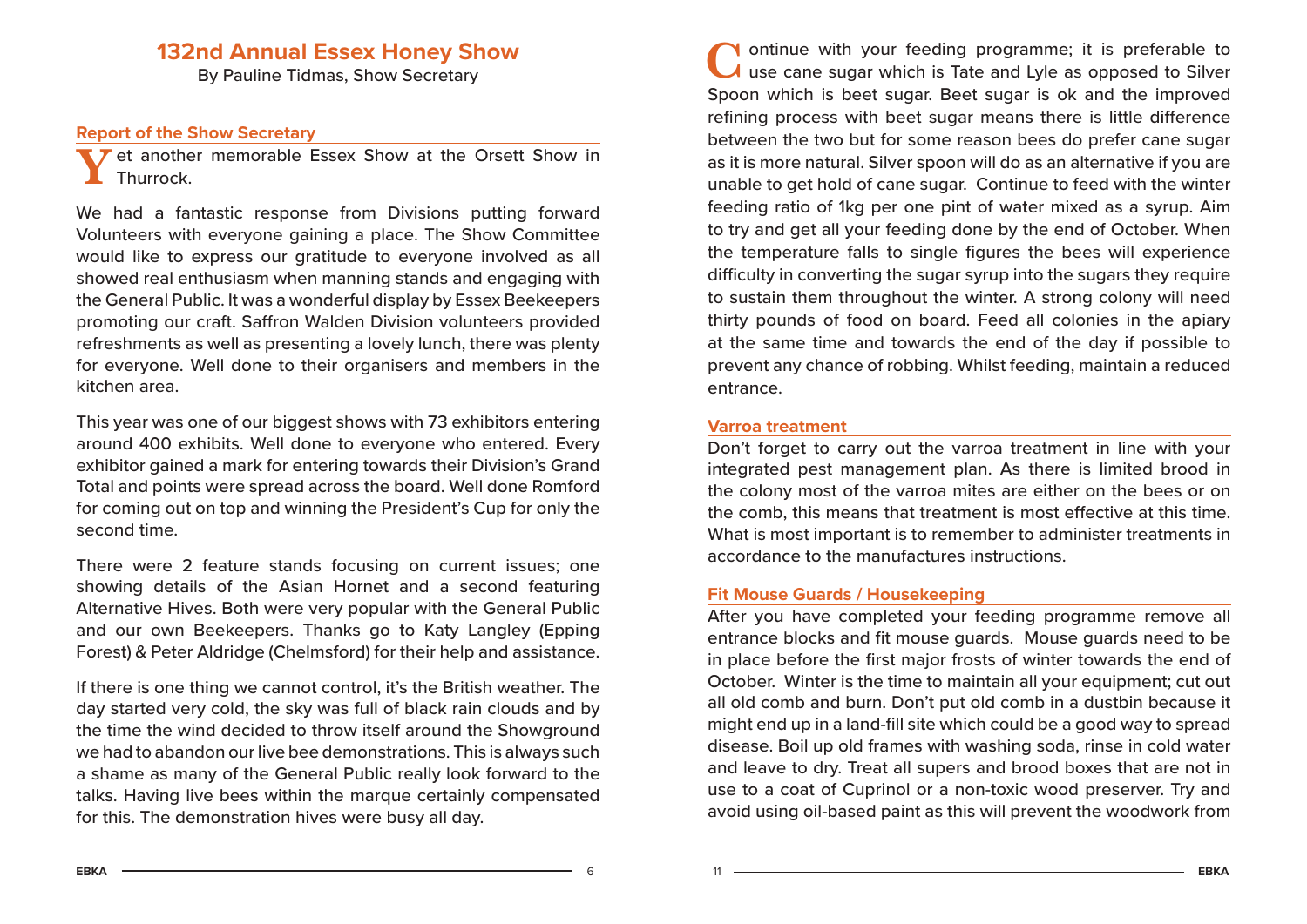# **132nd Annual Essex Honey Show**

By Pauline Tidmas, Show Secretary

#### **Report of the Show Secretary**

Yet another memorable Essex Show at the Orsett Show in<br>Thurrock

We had a fantastic response from Divisions putting forward Volunteers with everyone gaining a place. The Show Committee would like to express our gratitude to everyone involved as all showed real enthusiasm when manning stands and engaging with the General Public. It was a wonderful display by Essex Beekeepers promoting our craft. Saffron Walden Division volunteers provided refreshments as well as presenting a lovely lunch, there was plenty for everyone. Well done to their organisers and members in the kitchen area.

This year was one of our biggest shows with 73 exhibitors entering around 400 exhibits. Well done to everyone who entered. Every exhibitor gained a mark for entering towards their Division's Grand Total and points were spread across the board. Well done Romford for coming out on top and winning the President's Cup for only the second time.

There were 2 feature stands focusing on current issues; one showing details of the Asian Hornet and a second featuring Alternative Hives. Both were very popular with the General Public and our own Beekeepers. Thanks go to Katy Langley (Epping Forest) & Peter Aldridge (Chelmsford) for their help and assistance.

If there is one thing we cannot control, it's the British weather. The day started very cold, the sky was full of black rain clouds and by the time the wind decided to throw itself around the Showground we had to abandon our live bee demonstrations. This is always such a shame as many of the General Public really look forward to the talks. Having live bees within the marque certainly compensated for this. The demonstration hives were busy all day.

**N** ontinue with your feeding programme; it is preferable to  $\lambda$  use cane sugar which is Tate and Lyle as opposed to Silver Spoon which is beet sugar. Beet sugar is ok and the improved refining process with beet sugar means there is little difference between the two but for some reason bees do prefer cane sugar as it is more natural. Silver spoon will do as an alternative if you are unable to get hold of cane sugar. Continue to feed with the winter feeding ratio of 1kg per one pint of water mixed as a syrup. Aim to try and get all your feeding done by the end of October. When the temperature falls to single figures the bees will experience difficulty in converting the sugar syrup into the sugars they require to sustain them throughout the winter. A strong colony will need thirty pounds of food on board. Feed all colonies in the apiary at the same time and towards the end of the day if possible to prevent any chance of robbing. Whilst feeding, maintain a reduced entrance.

#### **Varroa treatment**

Don't forget to carry out the varroa treatment in line with your integrated pest management plan. As there is limited brood in the colony most of the varroa mites are either on the bees or on the comb, this means that treatment is most effective at this time. What is most important is to remember to administer treatments in accordance to the manufactures instructions.

#### **Fit Mouse Guards / Housekeeping**

After you have completed your feeding programme remove all entrance blocks and fit mouse guards. Mouse guards need to be in place before the first major frosts of winter towards the end of October. Winter is the time to maintain all your equipment; cut out all old comb and burn. Don't put old comb in a dustbin because it might end up in a land-fill site which could be a good way to spread disease. Boil up old frames with washing soda, rinse in cold water and leave to dry. Treat all supers and brood boxes that are not in use to a coat of Cuprinol or a non-toxic wood preserver. Try and avoid using oil-based paint as this will prevent the woodwork from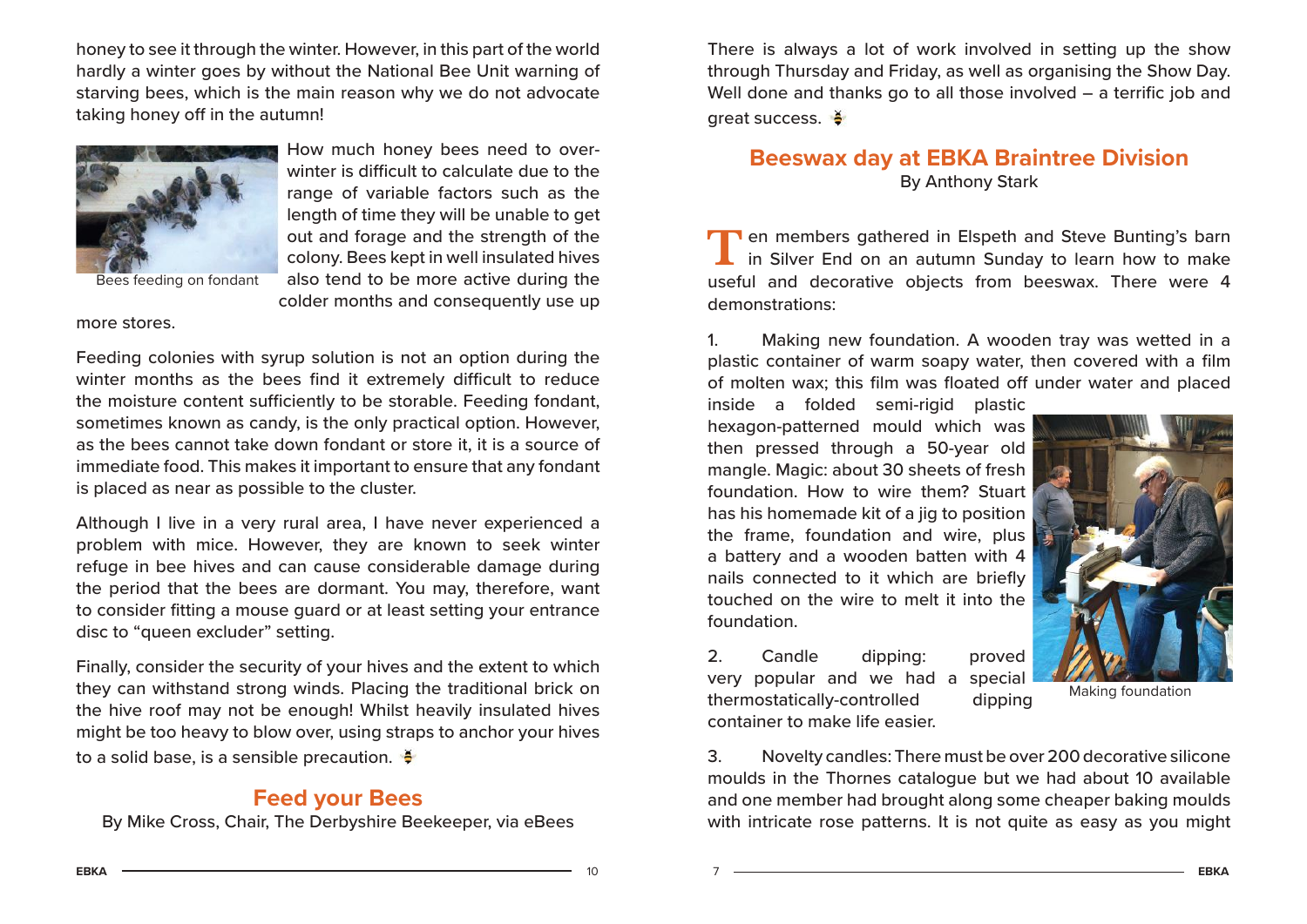honey to see it through the winter. However, in this part of the world hardly a winter goes by without the National Bee Unit warning of starving bees, which is the main reason why we do not advocate taking honey off in the autumn!



How much honey bees need to overwinter is difficult to calculate due to the range of variable factors such as the length of time they will be unable to get out and forage and the strength of the colony. Bees kept in well insulated hives also tend to be more active during the colder months and consequently use up

more stores.

Feeding colonies with syrup solution is not an option during the winter months as the bees find it extremely difficult to reduce the moisture content sufficiently to be storable. Feeding fondant, sometimes known as candy, is the only practical option. However, as the bees cannot take down fondant or store it, it is a source of immediate food. This makes it important to ensure that any fondant is placed as near as possible to the cluster.

Although I live in a very rural area, I have never experienced a problem with mice. However, they are known to seek winter refuge in bee hives and can cause considerable damage during the period that the bees are dormant. You may, therefore, want to consider fitting a mouse guard or at least setting your entrance disc to "queen excluder" setting.

Finally, consider the security of your hives and the extent to which they can withstand strong winds. Placing the traditional brick on the hive roof may not be enough! Whilst heavily insulated hives might be too heavy to blow over, using straps to anchor your hives to a solid base, is a sensible precaution.  $\frac{3}{7}$ 

# **Feed your Bees**

By Mike Cross, Chair, The Derbyshire Beekeeper, via eBees

There is always a lot of work involved in setting up the show through Thursday and Friday, as well as organising the Show Day. Well done and thanks go to all those involved – a terrific job and great success.

# **Beeswax day at EBKA Braintree Division** By Anthony Stark

Ten members gathered in Elspeth and Steve Bunting's barn<br>in Silver End on an autumn Sunday to learn how to make useful and decorative objects from beeswax. There were 4 demonstrations:

1. Making new foundation. A wooden tray was wetted in a plastic container of warm soapy water, then covered with a film of molten wax; this film was floated off under water and placed

inside a folded semi-rigid plastic hexagon-patterned mould which was then pressed through a 50-year old mangle. Magic: about 30 sheets of fresh foundation. How to wire them? Stuart has his homemade kit of a jig to position the frame, foundation and wire, plus a battery and a wooden batten with 4 nails connected to it which are briefly touched on the wire to melt it into the foundation.

2. Candle dipping: proved very popular and we had a special thermostatically-controlled dipping container to make life easier.



Making foundation

3. Novelty candles: There must be over 200 decorative silicone moulds in the Thornes catalogue but we had about 10 available and one member had brought along some cheaper baking moulds with intricate rose patterns. It is not quite as easy as you might

 $\overline{A}$   $\overline{A}$   $\overline{A}$   $\overline{A}$   $\overline{A}$   $\overline{A}$   $\overline{A}$   $\overline{A}$   $\overline{A}$   $\overline{A}$   $\overline{A}$   $\overline{A}$   $\overline{A}$   $\overline{A}$   $\overline{A}$   $\overline{A}$   $\overline{A}$   $\overline{A}$   $\overline{A}$   $\overline{A}$   $\overline{A}$   $\overline{A}$   $\overline{A}$   $\overline{A}$   $\overline{$